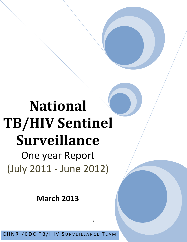# **National TB/HIV Sentinel Surveillance**

One year Report (July 2011 - June 2012)

**March 2013**

EHNRI/CDC TB/HIV SURVEILLANCE TEAM

i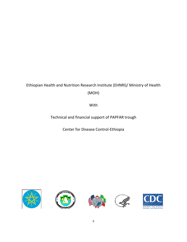# Ethiopian Health and Nutrition Research Institute (EHNRI)/ Ministry of Health (MOH)

With

Technical and financial support of PAPFAR trough

Center for Disease Control-Ethiopia









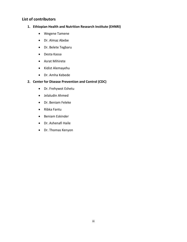# **List of contributors**

- **1. Ethiopian Health and Nutrition Research Institute (EHNRI)**
	- Wegene Tamene
	- Dr. Almaz Abebe
	- Dr. Belete Tegbaru
	- Desta Kassa
	- Asrat Mihirete
	- Kidist Alemayehu
	- Dr. Amha Kebede

### **2. Center for Disease Prevention and Control (CDC)**

- Dr. Frehywot Eshetu
- Jelaludin Ahmed
- Dr. Beniam Feleke
- Ribka Fantu
- Beniam Eskinder
- Dr. Ashenafi Haile
- Dr. Thomas Kenyon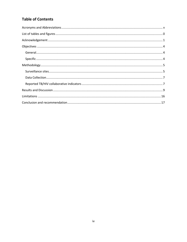# **Table of Contents**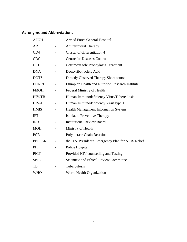# **Acronyms and Abbreviations**

| <b>AFGH</b>     | <b>Armed Force General Hospital</b>                 |  |
|-----------------|-----------------------------------------------------|--|
| <b>ART</b>      | <b>Antiretroviral Therapy</b>                       |  |
| CD <sub>4</sub> | Cluster of differentiation 4                        |  |
| <b>CDC</b>      | <b>Centre for Diseases Control</b>                  |  |
| <b>CPT</b>      | Cotrimoxazole Prophylaxis Treatment                 |  |
| <b>DNA</b>      | Deoxyribonucleic Acid                               |  |
| <b>DOTS</b>     | Directly Observed Therapy Short course              |  |
| <b>EHNRI</b>    | Ethiopian Health and Nutrition Research Institute   |  |
| <b>FMOH</b>     | Federal Ministry of Health                          |  |
| HIV/TB          | Human Immunodeficiency Virus/Tuberculosis           |  |
| $HIV-1$         | Human Immunodeficiency Virus type 1                 |  |
| <b>HMIS</b>     | <b>Health Management Information System</b>         |  |
| <b>IPT</b>      | Isoniazid Preventive Therapy                        |  |
| <b>IRB</b>      | <b>Institutional Review Board</b>                   |  |
| <b>MOH</b>      | Ministry of Health                                  |  |
| <b>PCR</b>      | Polymerase Chain Reaction                           |  |
| <b>PEPFAR</b>   | the U.S. President's Emergency Plan for AIDS Relief |  |
| <b>PH</b>       | Police Hospital                                     |  |
| <b>PICT</b>     | Provided HIV counselling and Testing                |  |
| <b>SERC</b>     | Scientific and Ethical Review Committee             |  |
| TB              | Tuberculosis                                        |  |
| WHO             | <b>World Health Organization</b>                    |  |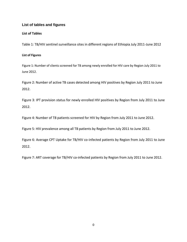# **List of tables and figures**

### **List of Tables**

Table 1: TB/HIV sentinel surveillance sites in different regions of Ethiopia July 2011-June 2012

#### **List of Figures**

Figure 1: Number of clients screened for TB among newly enrolled for HIV care by Region July 2011 to June 2012.

Figure 2: Number of active TB cases detected among HIV positives by Region July 2011 to June 2012.

Figure 3: IPT provision status for newly enrolled HIV positives by Region from July 2011 to June 2012.

Figure 4: Number of TB patients screened for HIV by Region from July 2011 to June 2012.

Figure 5: HIV prevalence among all TB patients by Region from July 2011 to June 2012.

Figure 6: Average CPT Uptake for TB/HIV co-infected patients by Region from July 2011 to June 2012.

Figure 7: ART coverage for TB/HIV co-infected patients by Region from July 2011 to June 2012.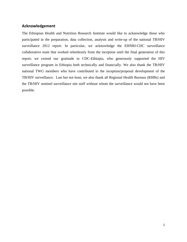# **Acknowledgement**

The Ethiopian Health and Nutrition Research Institute would like to acknowledge those who participated in the preparation, data collection, analysis and write-up of the national TB/HIV surveillance 2012 report. In particular, we acknowledge the EHNRI-CDC surveillance collaborative team that worked relentlessly from the inception until the final generation of this report; we extend our gratitude to CDC-Ethiopia, who generously supported the HIV surveillance program in Ethiopia both technically and financially. We also thank the TB/HIV national TWG members who have contributed in the inception/proposal development of the TB/HIV surveillance. Last but not least, we also thank all Regional Health Bureaus (RHBs) and the TB/HIV sentinel surveillance site staff without whom the surveillance would not have been possible.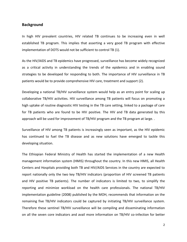#### **Background**

In high HIV prevalent countries, HIV related TB continues to be increasing even in well established TB program. This implies that asserting a very good TB program with effective implementation of DOTS would not be sufficient to control TB (1).

As the HIV/AIDS and TB epidemics have progressed, surveillance has become widely recognized as a critical activity in understanding the trends of the epidemics and in enabling sound strategies to be developed for responding to both. The importance of HIV surveillance in TB patients would be to provide comprehensive HIV care, treatment and support (2).

Developing a national TB/HIV surveillance system would help as an entry point for scaling up collaborative TB/HIV activities. HIV surveillance among TB patients will focus on promoting a high uptake of routine diagnostic HIV testing in the TB care setting, linked to a package of care for TB patients who are found to be HIV positive. The HIV and TB data generated by this approach will be used for improvement of TB/HIV program and the TB program at large. .

Surveillance of HIV among TB patients is increasingly seen as important, as the HIV epidemic has continued to fuel the TB disease and as new solutions have emerged to tackle this developing situation.

The Ethiopian Federal Ministry of Health has started the implementation of a new Health management information system (HMIS) throughout the country. In this new HMIS, all Health Centers and Hospitals providing both TB and HIV/AIDS Services in the country are expected to report nationally only the two key TB/HIV indicators (proportion of HIV screened TB patients and HIV positive TB patients). The number of indicators is limited to two, to simplify the reporting and minimize workload on the health care professionals. The national TB/HIV implementation guideline (2008) published by the MOH, recommends that information on the remaining five TB/HIV indicators could be captured by initiating TB/HIV surveillance system. Therefore these sentinel TB/HIV surveillance will be compiling and disseminating information on all the seven core indicators and avail more information on TB/HIV co-infection for better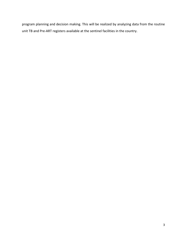program planning and decision making. This will be realized by analyzing data from the routine unit TB and Pre-ART registers available at the sentinel facilities in the country.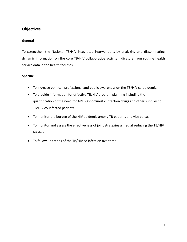# **Objectives**

# **General**

To strengthen the National TB/HIV integrated interventions by analyzing and disseminating dynamic information on the core TB/HIV collaborative activity indicators from routine health service data in the health facilities.

# **Specific**

- To increase political, professional and public awareness on the TB/HIV co-epidemic.
- To provide information for effective TB/HIV program planning including the quantification of the need for ART, Opportunistic Infection drugs and other supplies to TB/HIV co-infected patients.
- To monitor the burden of the HIV epidemic among TB patients and vice versa.
- To monitor and assess the effectiveness of joint strategies aimed at reducing the TB/HIV burden.
- To follow up trends of the TB/HIV co infection over time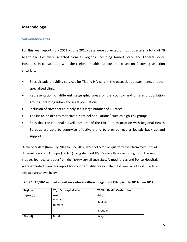# **Methodology**

## **Surveillance sites**

For this year report (July 2011 – June 2012) data were collected on four quarters, a total of 79 health facilities were selected from all regions, including Armed Force and Federal police Hospitals, in consultation with the regional health bureaus and based on following selection criteria's,

- Sites already providing services for TB and HIV care in the outpatient departments or other specialised clinic.
- Representation of different geographic areas of the country and different population groups, including urban and rural populations.
- Inclusion of sites that routinely see a large number of TB cases.
- The inclusion of sites that cover "sentinel populations" such as high-risk groups.
- Sites that the National surveillance unit of the EHNRI in association with Regional Health Bureaus are able to supervise effectively and to provide regular logistic back up and support.

A one year data (from July 2011 to June 2012) were collected on quarterly basis from most sites of different regions of Ethiopia (Table 1) using standard TB/HIV surveillance reporting form. This report includes four quarters data from the TB/HIV surveillance sites. Armed forces and Police Hospitals were excluded from this report for confidentiality reason. The total numbers of health facilities selected are shown below:

| <b>Regions</b> | TB/HIV Hospital sites | TB/HIV Health Center sites |
|----------------|-----------------------|----------------------------|
| Tigray (6)     | Axum                  | Adigrat                    |
|                | Alamata               | Mekele                     |
|                | Humera                |                            |
|                |                       | Megoni                     |

**Afar (4)** Dupti **Contract Assets** Asayat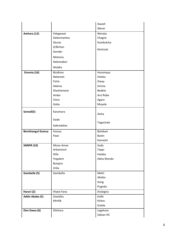|                          |                 | Awash        |
|--------------------------|-----------------|--------------|
|                          |                 | Werer        |
| Amhara (12)              | Felegewot       | Woreta       |
|                          | Debremarkos     | Chagne       |
|                          | Dessie          | Kombolcha    |
|                          | D/Birhan        | Kemissie     |
|                          | Gonder          |              |
|                          | Metema          |              |
|                          | Debretabor      |              |
|                          | Woldia          |              |
| Oromia (16)              | Bisidimo        | Horomaya     |
|                          | Nekemet         | Holeta       |
|                          | Fiche           | Ziway        |
|                          | Adama           | Jimma        |
|                          | Shashamane      | Bedele       |
|                          | Ambo            | Arsi Robe    |
|                          | Chiro           | Agaro        |
|                          | Goba            | Moyale       |
| Somali(5)                | Karamara        | Aisha        |
|                          |                 |              |
|                          | Gode            | Togochale    |
|                          | Kebredahar      |              |
| <b>Benishangul Gumuz</b> | Assosa          | Bambasi      |
|                          | Pawi            | <b>Bulen</b> |
|                          |                 | Kamashi      |
| <b>SNNPR (10)</b>        | Mizan Aman      | Sodo         |
|                          | Arbaminch       | Teppi        |
|                          | Dilla           | Halaba       |
|                          | Yirgalem        | Aleta Wondo  |
|                          | <b>Butajira</b> |              |
|                          | Jinka           |              |
| Gambella (5)             | Gambella        | Metti        |
|                          |                 | Abobo        |
|                          |                 | Itang        |
|                          |                 | Pugndo       |
| Harari (2)               | Hiwot Fana      | Arategna     |
| Addis Ababa (5)          | Zewiditu        | Kolfe        |
|                          | Minilik         | Kirkos       |
|                          |                 | Gulele       |
| Dire Dawa (6)            | Dilchora        | Legehare     |
|                          |                 | Sabian HC    |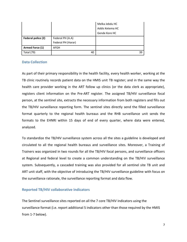|                    |                    | Melka Jebdu HC  |
|--------------------|--------------------|-----------------|
|                    |                    | Addis Ketema HC |
|                    |                    | Gende Kore HC   |
| Federal police (2) | Federal PH (A.A)   |                 |
|                    | Federal PH (Harar) |                 |
| Armed Force (1)    | AFGH               |                 |
| <b>Total (79)</b>  | 40                 | 39              |

## **Data Collection**

As part of their primary responsibility in the health facility, every health worker, working at the TB clinic routinely records patient data on the HMIS unit TB register; and in the same way the health care provider working in the ART follow up clinics (or the data clerk as appropriate), registers client information on the Pre-ART register. The assigned TB/HIV surveillance focal person, at the sentinel site, extracts the necessary information from both registers and fills out the TB/HIV surveillance reporting form. The sentinel sites directly send the filled surveillance format quarterly to the regional health bureaus and the RHB surveillance unit sends the formats to the EHNRI within 15 days of end of every quarter, where data were entered, analyzed.

To standardize the TB/HIV surveillance system across all the sites a guideline is developed and circulated to all the regional health bureaus and surveillance sites. Moreover, a Training of Trainers was organized in two rounds for all the TB/HIV focal persons, and surveillance officers at Regional and federal level to create a common understanding on the TB/HIV surveillance system. Subsequently, a cascaded training was also provided for all sentinel site TB unit and ART unit staff, with the objective of introducing the TB/HIV surveillance guideline with focus on the surveillance rationale, the surveillance reporting format and data flow.

# **Reported TB/HIV collaborative indicators**

The Sentinel surveillance sites reported on all the 7 core TB/HIV indicators using the surveillance format (i.e. report additional 5 indicators other than those required by the HMIS from 1-7 below).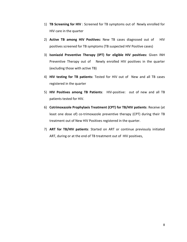- 1) **TB Screening for HIV** : Screened for TB symptoms out of Newly enrolled for HIV care in the quarter
- 2) **Active TB among HIV Positives:** New TB cases diagnosed out of HIV positives screened for TB symptoms (TB suspected HIV Positive cases)
- 3) **Isoniazid Preventive Therapy (IPT) for eligible HIV positives:** Given INH Preventive Therapy out of Newly enrolled HIV positives in the quarter (excluding those with active TB)
- 4) **HIV testing for TB patients:** Tested for HIV out of New and all TB cases registered in the quarter
- 5) **HIV Positives among TB Patients**: HIV-positive: out of new and all TB patients tested for HIV.
- 6) **Cotrimoxazole Prophylaxis Treatment (CPT) for TB/HIV patients**: Receive (at least one dose of) co-trimoxazole preventive therapy (CPT) during their TB treatment out of New HIV Positives registered in the quarter.
- 7) **ART for TB/HIV patients**: Started on ART or continue previously initiated ART, during or at the end of TB treatment out of HIV positives,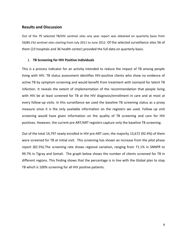## **Results and Discussion**

Out of the 79 selected TB/HIV sentinel sites one year report was obtained on quarterly basis from 56(89.1%) sentinel sites starting from July 2011 to June 2012. Of the selected surveillance sites 56 of them (23 hospitals and 36 health center) provided the full data on quarterly basis.

#### 1. **TB Screening for HIV Positive individuals**

This is a process indicator for an activity intended to reduce the impact of TB among people living with HIV. TB status assessment identifies HIV-positive clients who show no evidence of active TB by symptom screening and would benefit from treatment with isoniazid for latent TB infection. It reveals the extent of implementation of the recommendation that people living with HIV be at least screened for TB at the HIV diagnosis/enrollment in care and at most at every follow-up visits. In this surveillance we used the baseline TB screening status as a proxy measure since it is the only available information on the registers we used. Follow up visit screening would have given information on the quality of TB screening and care for HIV positives. However, the current pre ART/ART registers capture only the baseline TB screening.

Out of the total 14,797 newly enrolled in HIV pre-ART care, the majority 13,672 (92.4%) of them were screened for TB at initial visit. This screening has shown an increase from the pilot phase report (82.5%).The screening rate shows regional variation, ranging from 71.1% in SNNPR to 99.7% in Tigray and Somali. The graph below shows the number of clients screened for TB in different regions. This finding shows that the percentage is in line with the Global plan to stop TB which is 100% screening for all HIV positive patients.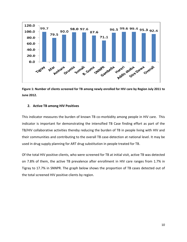

**Figure 1: Number of clients screened for TB among newly enrolled for HIV care by Region July 2011 to June 2012.**

#### **2. Active TB among HIV Positives**

This indicator measures the burden of known TB co-morbidity among people in HIV care. This indicator is important for demonstrating the intensified TB Case finding effort as part of the TB/HIV collaborative activities thereby reducing the burden of TB in people living with HIV and their communities and contributing to the overall TB case-detection at national level. It may be used in drug supply planning for ART drug substitution in people treated for TB.

Of the total HIV positive clients, who were screened for TB at initial visit, active TB was detected on 7.8% of them, the active TB prevalence after enrollment in HIV care ranges from 1.7% in Tigray to 17.7% in SNNPR. The graph below shows the proportion of TB cases detected out of the total screened HIV positive clients by region.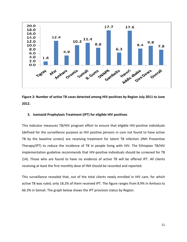

**Figure 2: Number of active TB cases detected among HIV positives by Region July 2011 to June 2012.**

#### **3. Isoniazid Prophylaxis Treatment (IPT) for eligible HIV positives**

This indicator measures TB/HIV program effort to ensure that eligible HIV-positive individuals [defined for the surveillance purpose as HIV positive persons in care not found to have active TB by the baseline screen] are receiving treatment for latent TB infection (INH Preventive Therapy/IPT) to reduce the incidence of TB in people living with HIV. The Ethiopian TB/HIV implementation guideline recommends that HIV-positive individuals should be screened for TB (14). Those who are found to have no evidence of active TB will be offered IPT. All clients receiving at least the first monthly dose of INH should be recorded and reported.

This surveillance revealed that, out of the total clients newly enrolled in HIV care, for which active TB was ruled, only 18.2% of them received IPT. The figure ranges from 8.9% in Amhara to 66.3% in Somali. The graph below shows the IPT provision status by Region.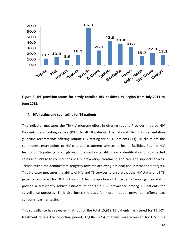

**Figure 3: IPT provision status for newly enrolled HIV positives by Region from July 2011 to June 2012.**

#### **4. HIV testing and counseling for TB patients**

This indicator measures the TB/HIV program effort in offering routine Provider Initiated HIV Counseling and testing service (PITC) to all TB patients. The national TB/HIV implementation guideline recommends offering routine HIV testing for all TB patients (13). TB clinics are the commonest entry points to HIV care and treatment services at health facilities. Routine HIV testing of TB patients is a high yield intervention enabling early identification of co-infected cases and linkage to comprehensive HIV prevention, treatment, and care and support services. Trends over time demonstrate progress towards achieving national and international targets. This indicator measures the ability of HIV and TB services to ensure that the HIV status of all TB patients registered for DOT is known. A high proportion of TB patients knowing their status provide a sufficiently robust estimate of the true HIV prevalence among TB patients for surveillance purposes (1). It also forms the basis for more in-depth prevention efforts (e.g. condoms, partner testing).

This surveillance has revealed that, out of the total 15,912 TB patients, registered for TB DOT treatment during the reporting period, 13,684 (86%) of them were screened for HIV. This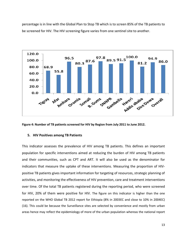percentage is in line with the Global Plan to Stop TB which is to screen 85% of the TB patients to be screened for HIV. The HIV screening figure varies from one sentinel site to another.



**Figure 4: Number of TB patients screened for HIV by Region from July 2011 to June 2012.**

#### **5. HIV Positives among TB Patients**

This indicator assesses the prevalence of HIV among TB patients. This defines an important population for specific interventions aimed at reducing the burden of HIV among TB patients and their communities, such as CPT and ART. It will also be used as the denominator for indicators that measure the uptake of these interventions. Measuring the proportion of HIVpositive TB patients gives important information for targeting of resources, strategic planning of activities, and monitoring the effectiveness of HIV prevention, care and treatment interventions over time. Of the total TB patients registered during the reporting period, who were screened for HIV, 20% of them were positive for HIV. The figure on this indicator is higher than the one reported on the WHO Global TB 2012 report for Ethiopia (8% in 2003EC and close to 10% in 2004EC) (16). This could be because the Surveillance sites are selected by convenience and mostly from urban areas hence may reflect the epidemiology of more of the urban population whereas the national report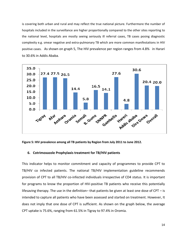is covering both urban and rural and may reflect the true national picture. Furthermore the number of hospitals included in the surveillance are higher proportionally compared to the other sites reporting to the national level, hospitals are mostly seeing seriously ill referral cases, TB cases posing diagnostic complexity e.g. smear negative and extra-pulmonary TB which are more common manifestations in HIV positive cases. As shown on graph 5, The HIV prevalence per region ranges from 4.8% in Harari to 30.6% in Addis Ababa.



**Figure 5: HIV prevalence among all TB patients by Region from July 2011 to June 2012.**

#### **6. Cotrimoxazole Prophylaxis treatment for TB/HIV patients**

This indicator helps to monitor commitment and capacity of programmes to provide CPT to TB/HIV co infected patients. The national TB/HIV implementation guideline recommends provision of CPT to all TB/HIV co-infected individuals irrespective of CD4 status. It is important for programs to know the proportion of HIV-positive TB patients who receive this potentially lifesaving therapy. The use in the definition– that patients be given at least one dose of CPT – is intended to capture all patients who have been assessed and started on treatment. However, It does not imply that one dose of CPT is sufficient. As shown on the graph below, the average CPT uptake is 75.6%, ranging from 61.5% in Tigray to 97.4% in Oromia.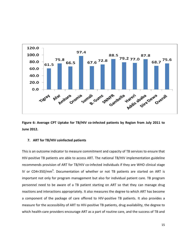

**Figure 6: Average CPT Uptake for TB/HIV co-infected patients by Region from July 2011 to June 2012.**

#### **7. ART for TB/HIV coinfected patients**

This is an outcome indicator to measure commitment and capacity of TB services to ensure that HIV-positive TB patients are able to access ART. The national TB/HIV implementation guideline recommends provision of ART for TB/HIV co-infected individuals if they are WHO clinical stage IV or CD4<350/mm<sup>3</sup>. Documentation of whether or not TB patients are started on ART is important not only for program management but also for individual patient care. TB program personnel need to be aware of a TB patient starting on ART so that they can manage drug reactions and interactions appropriately. It also measures the degree to which ART has become a component of the package of care offered to HIV-positive TB patients. It also provides a measure for the accessibility of ART to HIV-positive TB patients, drug availability, the degree to which health-care providers encourage ART as a part of routine care, and the success of TB and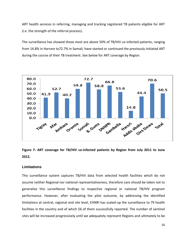ART health services in referring, managing and tracking registered TB patients eligible for ART (i.e. the strength of the referral process).

The surveillance has showed those most are above 50% of TB/HIV co-infected patients, ranging from 14.8% in Harrare to72.7% in Somali, have started or continued the previously initiated ART during the course of their TB treatment. See below for ART coverage by Region.



**Figure 7: ART coverage for TB/HIV co-infected patients by Region from July 2011 to June 2012.**

#### **Limitations**

This surveillance system captures TB/HIV data from selected health facilities which do not assume neither Regional nor national representativeness, therefore care should be taken not to generalize this surveillance findings to respective regional or national TB/HIV program performance. However, after evaluating the pilot outcome, by addressing the identified limitations at central, regional and site level, EHNRI has scaled-up the surveillance to 79 health facilities in the country and of which 56 of them successfully reported. The number of sentinel sites will be increased progressively until we adequately represent Regions and ultimately to be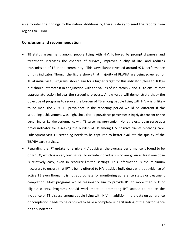able to infer the findings to the nation. Additionally, there is delay to send the reports from regions to EHNRI.

#### **Conclusion and recommendation**

- TB status assessment among people living with HIV, followed by prompt diagnosis and treatment, increases the chances of survival, improves quality of life, and reduces transmission of TB in the community. This surveillance revealed around 92% performance on this indicator. Though the figure shows that majority of PLWHA are being screened for TB at initial visit , Programs should aim for a higher target for this indicator (close to 100%) but should interpret it in conjunction with the values of indicators 2 and 3, to ensure that appropriate action follows the screening process. A low value will demonstrate that– the objective of programs to reduce the burden of TB among people living with HIV  $-$  is unlikely to be met. The 7.8% TB prevalence in the reporting period would be different if the screening achievement was high, since the TB prevalence percentage is highly dependent on the denominator; i.e. the performance with TB screening intervention. Nonetheless, it can serve as a proxy indicator for assessing the burden of TB among HIV positive clients receiving care. Subsequent visit TB screening needs to be captured to better evaluate the quality of the TB/HIV care services.
- Regarding the IPT uptake for eligible HIV positives, the average performance is found to be only 18%, which is a very low figure. To include individuals who are given at least one dose is relatively easy, even in resource-limited settings. This information is the minimum necessary to ensure that IPT is being offered to HIV-positive individuals without evidence of active TB even though it is not appropriate for monitoring adherence status or treatment completion. Most programs would reasonably aim to provide IPT to more than 60% of eligible clients. Programs should work more in promoting IPT uptake to reduce the incidence of TB disease among people living with HIV. In addition, more data on adherence or completion needs to be captured to have a complete understanding of the performance on this indicator.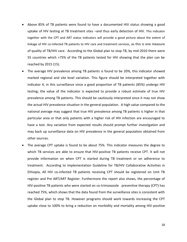- Above 85% of TB patients were found to have a documented HIV status showing a good uptake of HIV testing at TB treatment sites –and thus early detection of HIV. This indicator together with the CPT and ART status indicators will provide a good picture about the extent of linkage of HIV co-infected TB patients to HIV care and treatment services, as this is one measure of quality of TB/HIV care. According to the Global plan to stop TB, by mid-2010 there were 55 countries which >75% of the TB patients tested for HIV showing that the plan can be reached by 2015 (15).
- The average HIV prevalence among TB patients is found to be 20%, this indicator showed marked regional and site level variation. This figure should be interpreted together with indicator 4, in this surveillance since a good proportion of TB patients (85%) undergo HIV testing; the value of the indicator is expected to provide a robust estimate of true HIV prevalence among TB patients. This should be cautiously interpreted since it may not show the actual HIV prevalence situation in the general population. A high value compared to the national average may suggest that true HIV prevalence among TB patients is higher in that particular area or that only patients with a higher risk of HIV infection are encouraged to have a test. Any variation from expected results should prompt further investigation and may back up surveillance data on HIV prevalence in the general population obtained from other sources.
- The average CPT uptake is found to be about 75%. This indicator measures the degree to which TB services are able to ensure that HIV-positive TB patients receive CPT. It will not provide information on when CPT is started during TB treatment or on adherence to treatment. According to Implementation Guideline for TB/HIV Collaborative Activities in Ethiopia, All HIV co-infected TB patients receiving CPT should be registered on Unit TB register and Pre ART/ART Register. Furthermore the report also shows, the percentage of HIV-positive TB patients who were started on co-trimoxazole preventive therapy (CPT) has reached 75%, which shows that the data found from the surveillance sites is consistent with the Global plan to stop TB. However programs should work towards increasing the CPT uptake close to 100% to bring a reduction on morbidity and mortality among HIV-positive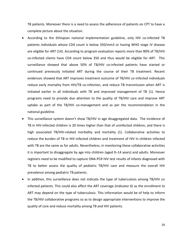TB patients. Moreover there is a need to assess the adherence of patients on CPT to have a complete picture about the situation.

- According to the Ethiopian national implementation guideline, only HIV co-infected TB patients individuals whose CD4 count is below 350/mm3 or having WHO stage IV disease are eligible for ART (14). According to program evaluation reports more than 80% of TB/HIV co-infected clients have CD4 count below 350 and thus would be eligible for ART. This surveillance showed that above 50% of TB/HIV co-infected patients have started or continued previously initiated ART during the course of their TB treatment. Recent evidences showed that ART improves treatment outcome of TB/HIV co-infected individuals reduce early mortality from HIV/TB co-infection, and reduce TB transmission when ART is initiated earlier in all individuals with TB and improved management of TB (1). Hence programs need to provide due attention to the quality of TB/HIV care and improve ART uptake as part of the TB/HIV co-management and as per the recommendation in the national guideline.
- This surveillance system doesn't show TB/HIV in age disaggregated data. The incidence of TB in HIV-infected children is 20 times higher than that of uninfected children, and there is high associated TB/HIV-related morbidity and mortality (1). Collaborative activities to reduce the burden of TB in HIV-infected children and treatment of HIV in children infected with TB are the same as for adults. Nevertheless, in monitoring these collaborative activities it is important to disaggregate by age into children (aged 0–14 years) and adults. Moreover registers need to be modified to capture DNA-PCR HIV test results of infants diagnosed with TB to better assess the quality of pediatric TB/HIV care and measure the overall HIV prevalence among pediatric TB patients.
- In addition, this surveillance does not indicate the type of tuberculosis among TB/HIV co infected patients. This could also affect the ART coverage (indicator 6) as the enrollment to ART may depend on the type of tuberculosis. This information would be of help to inform the TB/HIV collaborative programs so as to design appropriate interventions to improve the quality of care and reduce mortality among TB and HIV patients.